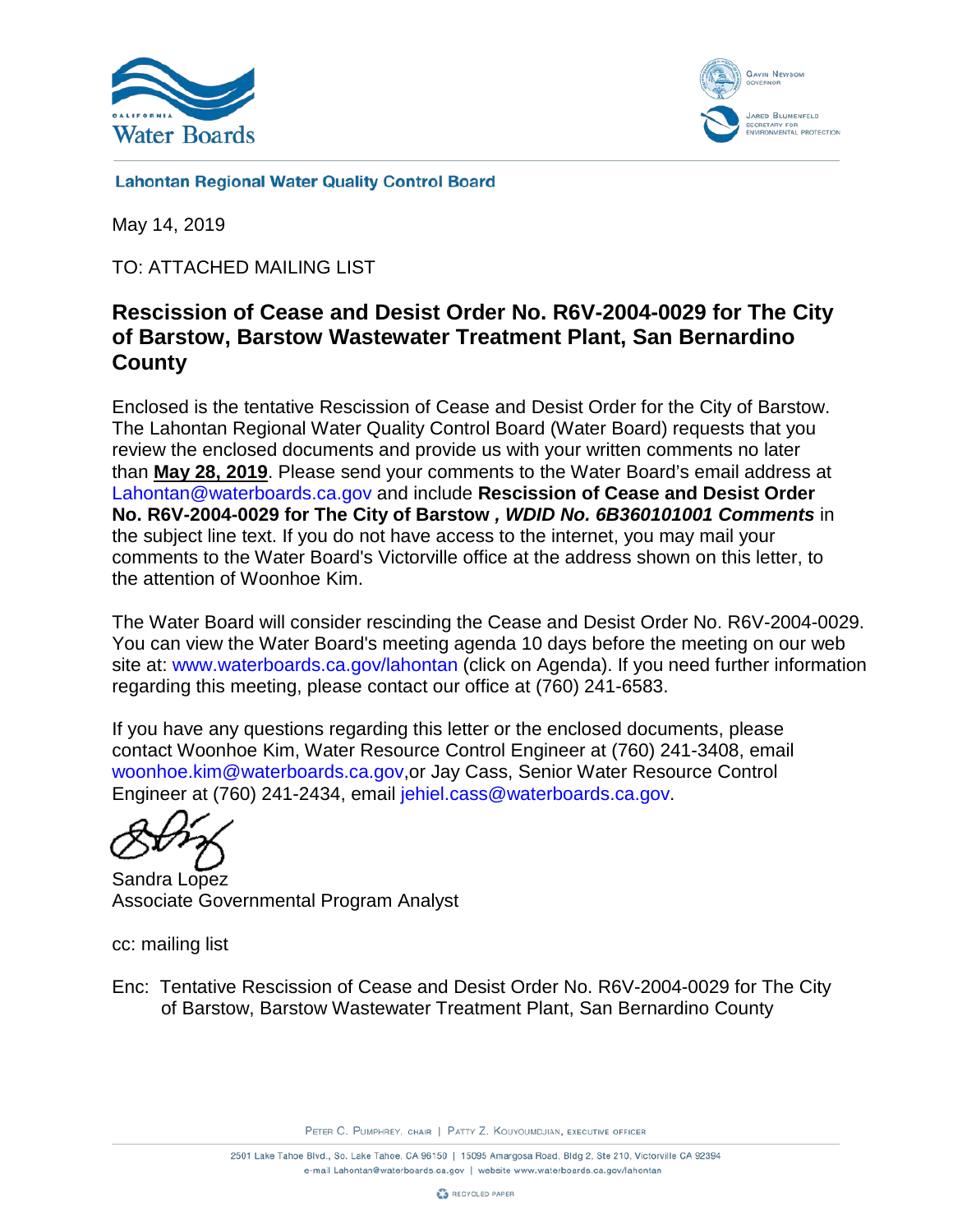



**Lahontan Regional Water Quality Control Board** 

May 14, 2019

TO: ATTACHED MAILING LIST

# **Rescission of Cease and Desist Order No. R6V-2004-0029 for The City of Barstow, Barstow Wastewater Treatment Plant, San Bernardino County**

Enclosed is the tentative Rescission of Cease and Desist Order for the City of Barstow. The Lahontan Regional Water Quality Control Board (Water Board) requests that you review the enclosed documents and provide us with your written comments no later than **May 28, 2019**. Please send your comments to the Water Board's email address at [Lahontan@waterboards.ca.gov](mailto:Lahontan@waterboards.ca.gov) and include **Rescission of Cease and Desist Order No. R6V-2004-0029 for The City of Barstow** *, WDID No. 6B360101001 Comments* in the subject line text. If you do not have access to the internet, you may mail your comments to the Water Board's Victorville office at the address shown on this letter, to the attention of Woonhoe Kim.

The Water Board will consider rescinding the Cease and Desist Order No. R6V-2004-0029. You can view the Water Board's meeting agenda 10 days before the meeting on our web site at: [www.waterboards.ca.gov/lahontan](http://www.waterboards.ca.gov/lahontan) (click on Agenda). If you need further information regarding this meeting, please contact our office at (760) 241-6583.

If you have any questions regarding this letter or the enclosed documents, please contact Woonhoe Kim, Water Resource Control Engineer at (760) 241-3408, email [woonhoe.kim@waterboards.ca.gov,](mailto:woonhoe.kim@waterboards.ca.gov)or Jay Cass, Senior Water Resource Control Engineer at (760) 241-2434, email [jehiel.cass@waterboards.ca.gov.](mailto:jehiel.cass@waterboards.ca.gov)

Sandra Lopez Associate Governmental Program Analyst

cc: mailing list

Enc: Tentative Rescission of Cease and Desist Order No. R6V-2004-0029 for The City of Barstow, Barstow Wastewater Treatment Plant, San Bernardino County

PETER C. PUMPHREY, CHAIR | PATTY Z. KOUYOUMDJIAN, EXECUTIVE OFFICER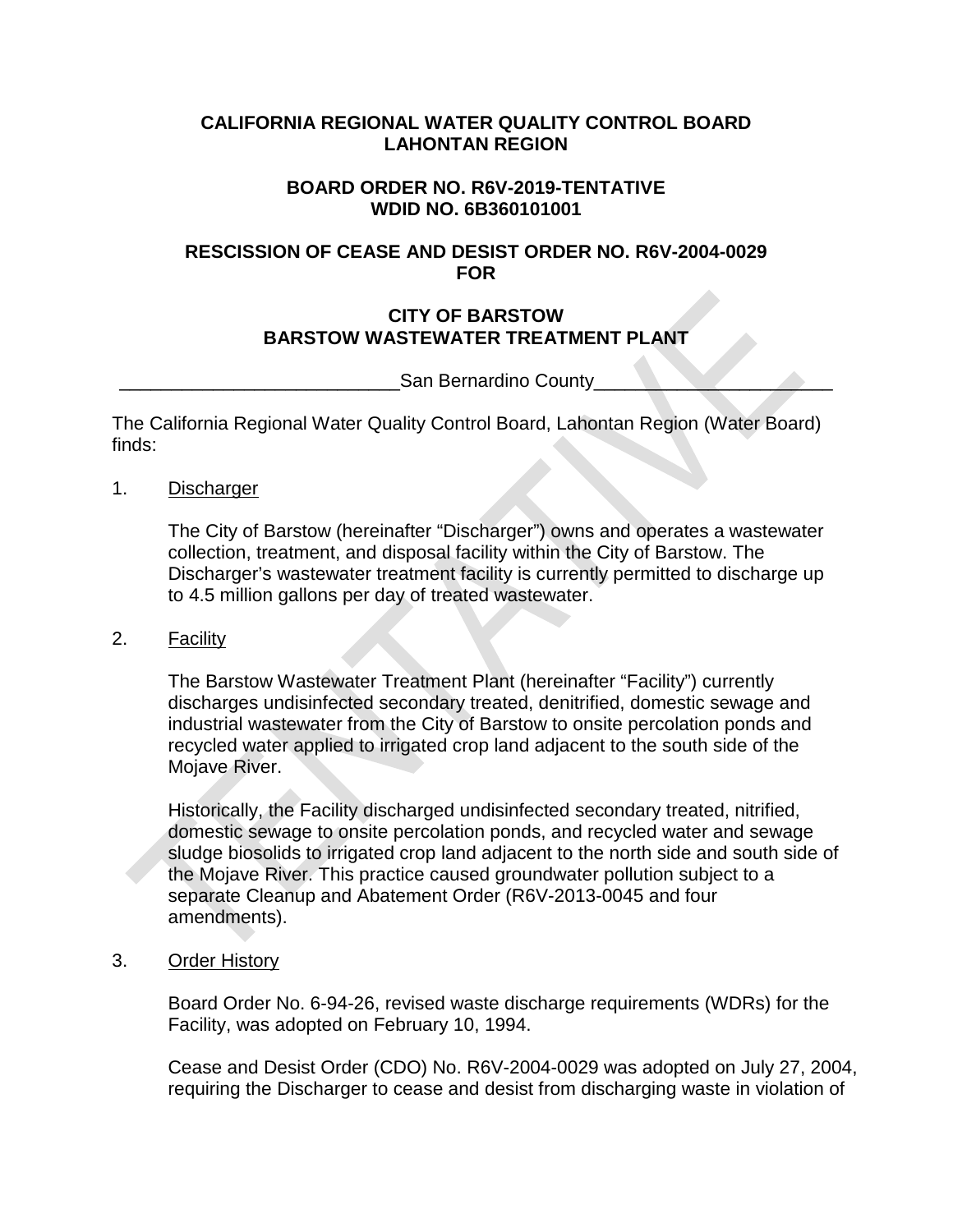## **CALIFORNIA REGIONAL WATER QUALITY CONTROL BOARD LAHONTAN REGION**

## **BOARD ORDER NO. R6V-2019-TENTATIVE WDID NO. 6B360101001**

## **RESCISSION OF CEASE AND DESIST ORDER NO. R6V-2004-0029 FOR**

## **CITY OF BARSTOW BARSTOW WASTEWATER TREATMENT PLANT**

San Bernardino County

The California Regional Water Quality Control Board, Lahontan Region (Water Board) finds:

1. Discharger

The City of Barstow (hereinafter "Discharger") owns and operates a wastewater collection, treatment, and disposal facility within the City of Barstow. The Discharger's wastewater treatment facility is currently permitted to discharge up to 4.5 million gallons per day of treated wastewater.

## 2. Facility

The Barstow Wastewater Treatment Plant (hereinafter "Facility") currently discharges undisinfected secondary treated, denitrified, domestic sewage and industrial wastewater from the City of Barstow to onsite percolation ponds and recycled water applied to irrigated crop land adjacent to the south side of the Mojave River.

Historically, the Facility discharged undisinfected secondary treated, nitrified, domestic sewage to onsite percolation ponds, and recycled water and sewage sludge biosolids to irrigated crop land adjacent to the north side and south side of the Mojave River. This practice caused groundwater pollution subject to a separate Cleanup and Abatement Order (R6V-2013-0045 and four amendments).

3. Order History

Board Order No. 6-94-26, revised waste discharge requirements (WDRs) for the Facility, was adopted on February 10, 1994.

Cease and Desist Order (CDO) No. R6V-2004-0029 was adopted on July 27, 2004, requiring the Discharger to cease and desist from discharging waste in violation of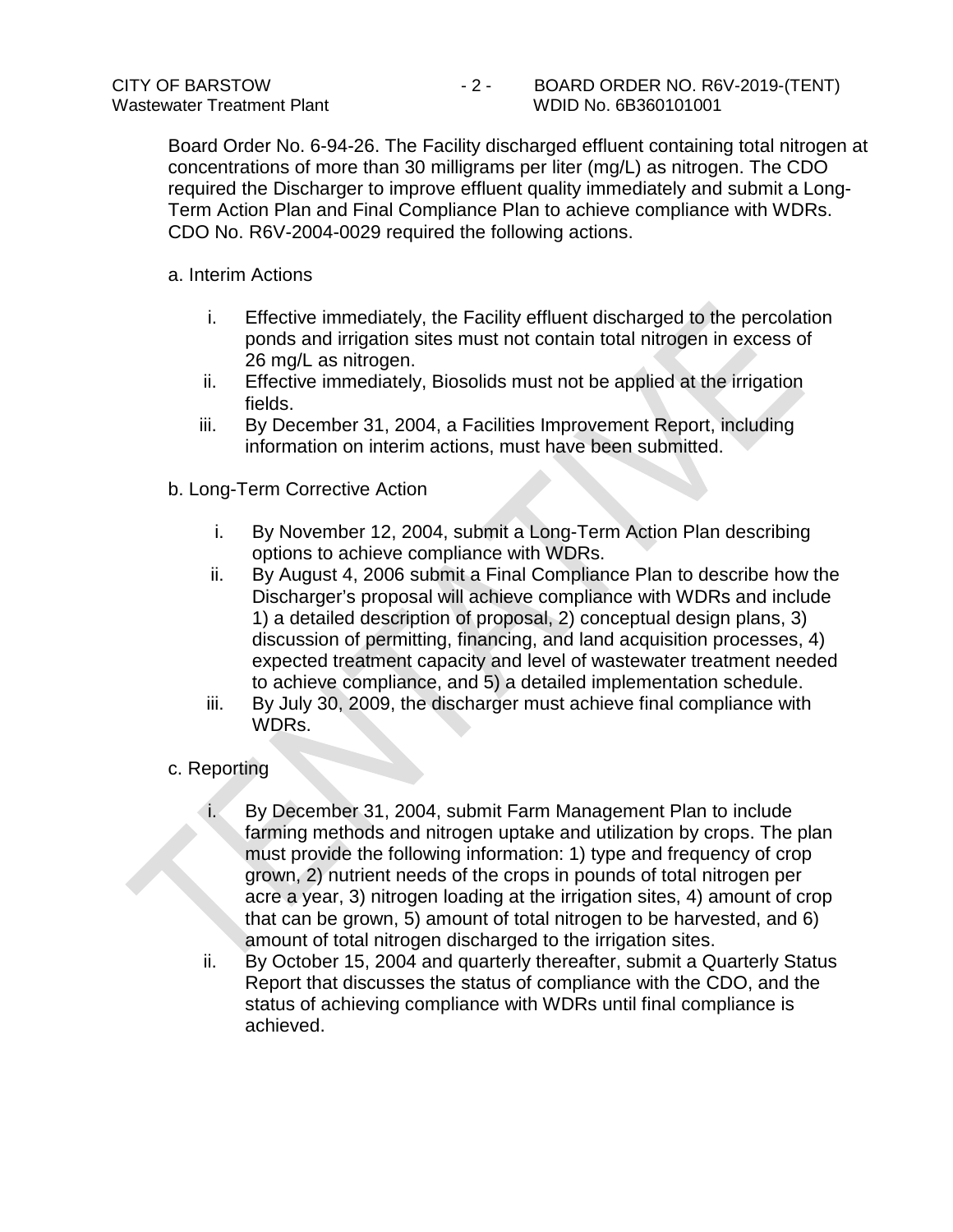Board Order No. 6-94-26. The Facility discharged effluent containing total nitrogen at concentrations of more than 30 milligrams per liter (mg/L) as nitrogen. The CDO required the Discharger to improve effluent quality immediately and submit a Long-Term Action Plan and Final Compliance Plan to achieve compliance with WDRs. CDO No. R6V-2004-0029 required the following actions.

a. Interim Actions

- i. Effective immediately, the Facility effluent discharged to the percolation ponds and irrigation sites must not contain total nitrogen in excess of 26 mg/L as nitrogen.
- ii. Effective immediately, Biosolids must not be applied at the irrigation fields.
- iii. By December 31, 2004, a Facilities Improvement Report, including information on interim actions, must have been submitted.
- b. Long-Term Corrective Action
	- i. By November 12, 2004, submit a Long-Term Action Plan describing options to achieve compliance with WDRs.
	- ii. By August 4, 2006 submit a Final Compliance Plan to describe how the Discharger's proposal will achieve compliance with WDRs and include 1) a detailed description of proposal, 2) conceptual design plans, 3) discussion of permitting, financing, and land acquisition processes, 4) expected treatment capacity and level of wastewater treatment needed to achieve compliance, and 5) a detailed implementation schedule.
	- iii. By July 30, 2009, the discharger must achieve final compliance with WDRs.

## c. Reporting

- i. By December 31, 2004, submit Farm Management Plan to include farming methods and nitrogen uptake and utilization by crops. The plan must provide the following information: 1) type and frequency of crop grown, 2) nutrient needs of the crops in pounds of total nitrogen per acre a year, 3) nitrogen loading at the irrigation sites, 4) amount of crop that can be grown, 5) amount of total nitrogen to be harvested, and 6) amount of total nitrogen discharged to the irrigation sites.
- ii. By October 15, 2004 and quarterly thereafter, submit a Quarterly Status Report that discusses the status of compliance with the CDO, and the status of achieving compliance with WDRs until final compliance is achieved.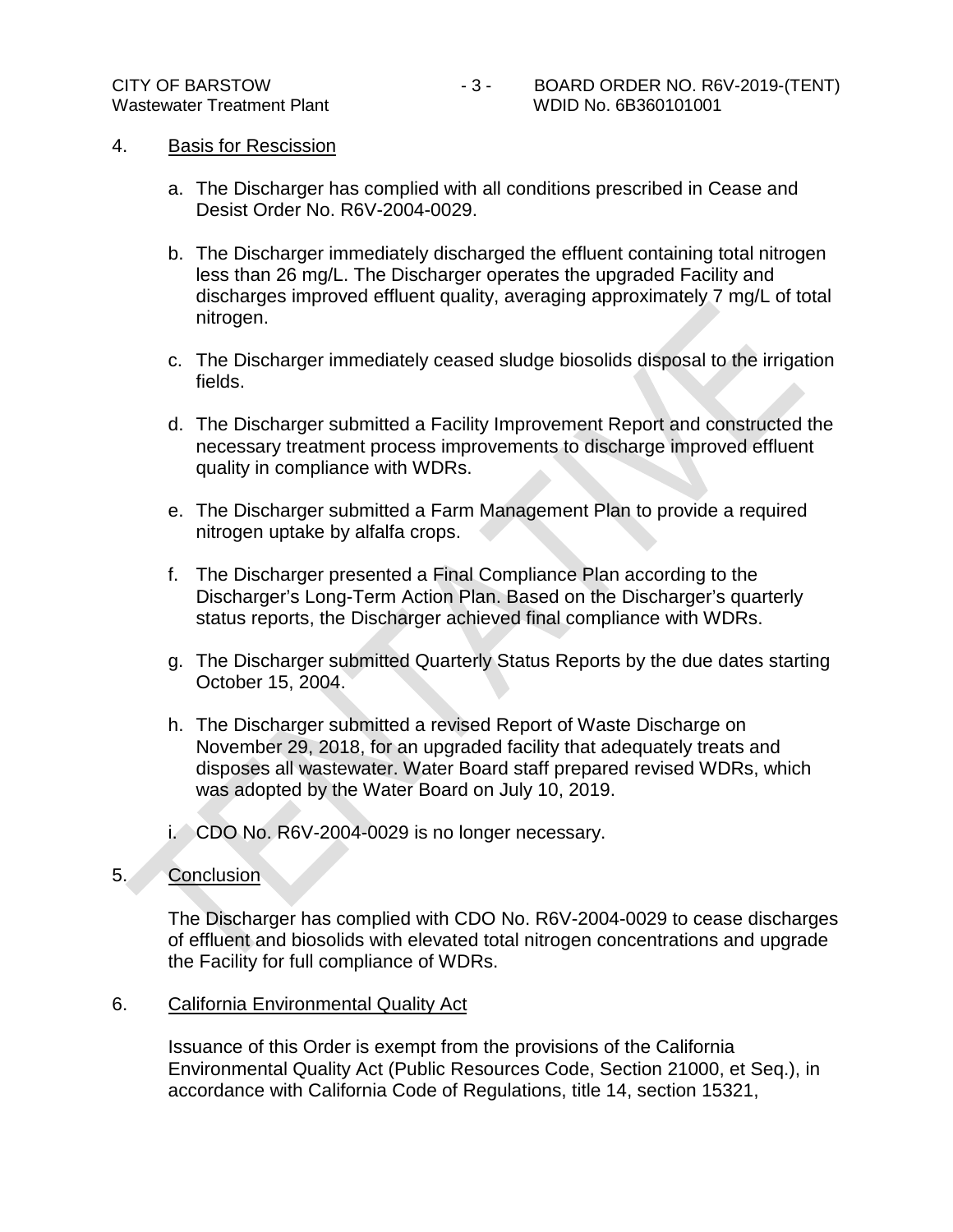#### 4. Basis for Rescission

- a. The Discharger has complied with all conditions prescribed in Cease and Desist Order No. R6V-2004-0029.
- b. The Discharger immediately discharged the effluent containing total nitrogen less than 26 mg/L. The Discharger operates the upgraded Facility and discharges improved effluent quality, averaging approximately 7 mg/L of total nitrogen.
- c. The Discharger immediately ceased sludge biosolids disposal to the irrigation fields.
- d. The Discharger submitted a Facility Improvement Report and constructed the necessary treatment process improvements to discharge improved effluent quality in compliance with WDRs.
- e. The Discharger submitted a Farm Management Plan to provide a required nitrogen uptake by alfalfa crops.
- f. The Discharger presented a Final Compliance Plan according to the Discharger's Long-Term Action Plan. Based on the Discharger's quarterly status reports, the Discharger achieved final compliance with WDRs.
- g. The Discharger submitted Quarterly Status Reports by the due dates starting October 15, 2004.
- h. The Discharger submitted a revised Report of Waste Discharge on November 29, 2018, for an upgraded facility that adequately treats and disposes all wastewater. Water Board staff prepared revised WDRs, which was adopted by the Water Board on July 10, 2019.
- i. CDO No. R6V-2004-0029 is no longer necessary.

#### 5. Conclusion

The Discharger has complied with CDO No. R6V-2004-0029 to cease discharges of effluent and biosolids with elevated total nitrogen concentrations and upgrade the Facility for full compliance of WDRs.

#### 6. California Environmental Quality Act

Issuance of this Order is exempt from the provisions of the California Environmental Quality Act (Public Resources Code, Section 21000, et Seq.), in accordance with California Code of Regulations, title 14, section 15321,